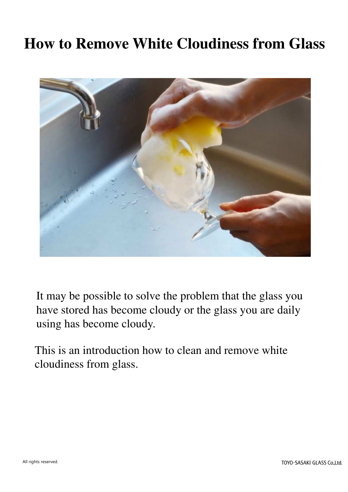#### **How to Remove White Cloudiness from Glass**



It may be possible to solve the problem that the glass you have stored has become cloudy or the glass you are daily using has become cloudy.

This is an introduction how to clean and remove white cloudiness from glass.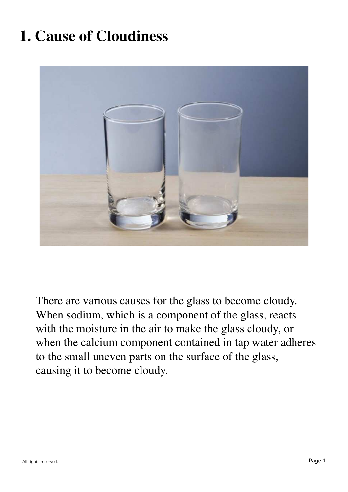## **1. Cause of Cloudiness**



There are various causes for the glass to become cloudy. When sodium, which is a component of the glass, reacts with the moisture in the air to make the glass cloudy, or when the calcium component contained in tap water adheres to the small uneven parts on the surface of the glass, causing it to become cloudy.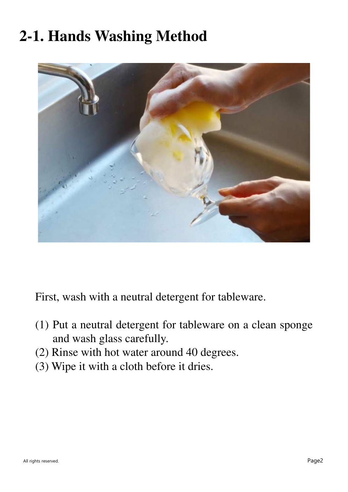## **2-1. Hands Washing Method**



First, wash with a neutral detergent for tableware.

- (1) Put a neutral detergent for tableware on a clean sponge and wash glass carefully.
- (2) Rinse with hot water around 40 degrees.
- (3) Wipe it with a cloth before it dries.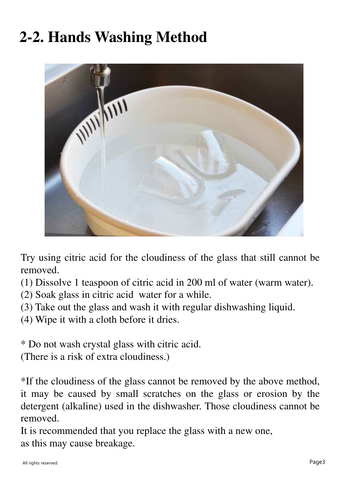# **2-2. Hands Washing Method**



Try using citric acid for the cloudiness of the glass that still cannot be removed.

- (1) Dissolve 1 teaspoon of citric acid in 200 ml of water (warm water).
- (2) Soak glass in citric acid water for a while.
- (3) Take out the glass and wash it with regular dishwashing liquid.
- (4) Wipe it with a cloth before it dries.

\* Do not wash crystal glass with citric acid.

(There is a risk of extra cloudiness.)

\*If the cloudiness of the glass cannot be removed by the above method, it may be caused by small scratches on the glass or erosion by the detergent (alkaline) used in the dishwasher. Those cloudiness cannot be removed.

It is recommended that you replace the glass with a new one, as this may cause breakage.